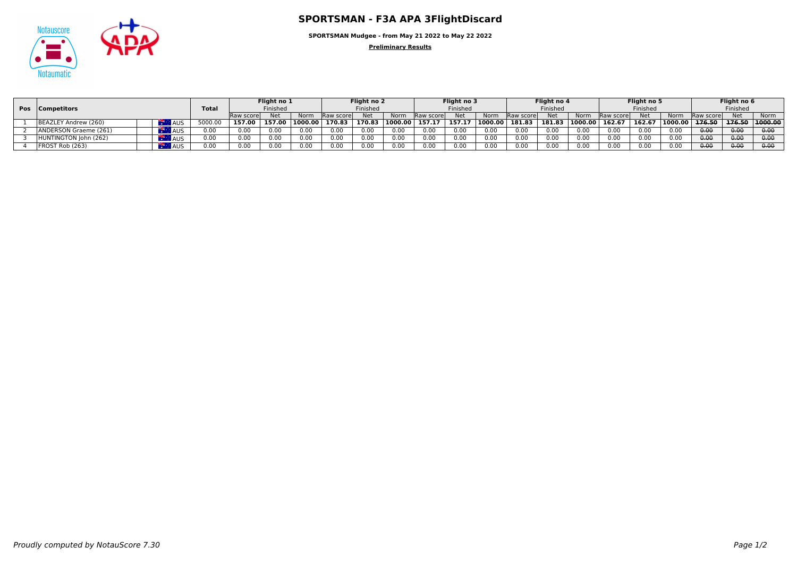

**SPORTSMAN Mudgee - from May 21 2022 to May 22 2022**

**Preliminary Results**

|                 |                       |            |              | Flight no 1 |        | Flight no 2     |                   | Flight no 3 |         |            | Flight no 4 |         |                    | Flight no 5 |          |                    | Flight no 6 |                      |                   |        |         |
|-----------------|-----------------------|------------|--------------|-------------|--------|-----------------|-------------------|-------------|---------|------------|-------------|---------|--------------------|-------------|----------|--------------------|-------------|----------------------|-------------------|--------|---------|
| Pos Competitors |                       |            | <b>Total</b> | Finished    |        | Finished        |                   | Finished    |         |            | Finished    |         | Finished           |             | Finished |                    |             |                      |                   |        |         |
|                 |                       |            |              | Raw score   | Net    | Norm            | <b>IRaw score</b> | <b>Net</b>  | Norm    | Raw scorel | <b>Net</b>  | Norm    | <b>IRaw scorel</b> | <b>Net</b>  | Norm     | <b>IRaw scorel</b> | <b>Net</b>  | Norm                 | <b>IRaw score</b> | Net    | Norm    |
|                 | BEAZLEY Andrew (260)  | <b>AUS</b> |              | 157.00      | 157.00 | $\pm 1000.00 +$ | 170.83            | 170.83      | 1000.00 | 157.17     | 157.17      | 1000.00 | 181.83             | 181.83      | 1000.00  | 162.6              | 162.67      | $ 1000.00 $ $176.50$ |                   | 176.50 | 1000.00 |
|                 | ANDERSON Graeme (261) | <b>AUS</b> | 0.00         | 0.00        | 0.00   | 0.00            |                   | 0.00        | 0.00    | 0.00       | 0.00        | 0.00    | 0.00               | 0.00        | 0.00     | 0.00               | 0.00        | 0.00                 | 0.00              | 0.00   | 0.00    |
|                 | HUNTINGTON John (262) | <b>AUS</b> | 0.00         | 0.00        | 0.00   | 0.00            |                   | 0.00        | 0.00    | 0.00       | 0.00        | 0.00    | 0.00               | 0.00        | 0.00     | 0.00               | 0.00        | 0.00                 | 0.00              | 0.00   | 0.00    |
|                 | FROST Rob (263)       |            | 0.00         | 0.00        | 0.00   | 0.00            |                   | 0.00        | 0.00    | 0.00       | 0.00        | 0.00    | 0.00               | 0.00        | 0.00     | 0.00               | 0.00        | 0.00                 | 0.00              | 0.00   | 0.00    |